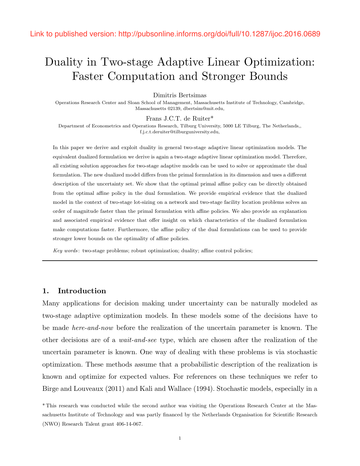# Duality in Two-stage Adaptive Linear Optimization: Faster Computation and Stronger Bounds

Dimitris Bertsimas

Operations Research Center and Sloan School of Management, Massachusetts Institute of Technology, Cambridge, Massachusetts 02139, [dbertsim@mit.edu,](mailto:dbertsim@mit.edu)

Frans J.C.T. de Ruiter\*

Department of Econometrics and Operations Research, Tilburg University, 5000 LE Tilburg, The Netherlands,, [f.j.c.t.deruiter@tilburguniversity.edu,](mailto:f.j.c.t.deruiter@tilburguniversity.edu)

In this paper we derive and exploit duality in general two-stage adaptive linear optimization models. The equivalent dualized formulation we derive is again a two-stage adaptive linear optimization model. Therefore, all existing solution approaches for two-stage adaptive models can be used to solve or approximate the dual formulation. The new dualized model differs from the primal formulation in its dimension and uses a different description of the uncertainty set. We show that the optimal primal affine policy can be directly obtained from the optimal affine policy in the dual formulation. We provide empirical evidence that the dualized model in the context of two-stage lot-sizing on a network and two-stage facility location problems solves an order of magnitude faster than the primal formulation with affine policies. We also provide an explanation and associated empirical evidence that offer insight on which characteristics of the dualized formulation make computations faster. Furthermore, the affine policy of the dual formulations can be used to provide stronger lower bounds on the optimality of affine policies.

*Key words*: two-stage problems; robust optimization; duality; affine control policies;

# 1. Introduction

Many applications for decision making under uncertainty can be naturally modeled as two-stage adaptive optimization models. In these models some of the decisions have to be made *here-and-now* before the realization of the uncertain parameter is known. The other decisions are of a *wait-and-see* type, which are chosen after the realization of the uncertain parameter is known. One way of dealing with these problems is via stochastic optimization. These methods assume that a probabilistic description of the realization is known and optimize for expected values. For references on these techniques we refer to [Birge and Louveaux](#page-24-0) [\(2011\)](#page-24-0) and [Kali and Wallace](#page-25-0) [\(1994\)](#page-25-0). Stochastic models, especially in a

<sup>\*</sup> This research was conducted while the second author was visiting the Operations Research Center at the Massachusetts Institute of Technology and was partly financed by the Netherlands Organisation for Scientific Research (NWO) Research Talent grant 406-14-067.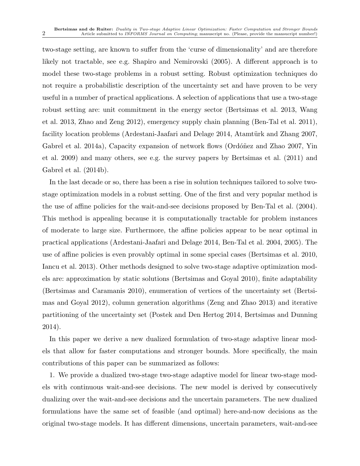two-stage setting, are known to suffer from the 'curse of dimensionality' and are therefore likely not tractable, see e.g. [Shapiro and Nemirovski](#page-25-1)  $(2005)$ . A different approach is to model these two-stage problems in a robust setting. Robust optimization techniques do not require a probabilistic description of the uncertainty set and have proven to be very useful in a number of practical applications. A selection of applications that use a two-stage robust setting are: unit commitment in the energy sector [\(Bertsimas et al. 2013,](#page-24-1) [Wang](#page-25-2) [et al. 2013,](#page-25-2) [Zhao and Zeng 2012\)](#page-25-3), emergency supply chain planning [\(Ben-Tal et al. 2011\)](#page-24-2), facility location problems [\(Ardestani-Jaafari and Delage 2014,](#page-23-0) Atamtürk and Zhang 2007, [Gabrel et al. 2014a\)](#page-24-3), Capacity expansion of network flows (Ordóñez and Zhao 2007, [Yin](#page-25-5) [et al. 2009\)](#page-25-5) and many others, see e.g. the survey papers by [Bertsimas et al.](#page-24-4) [\(2011\)](#page-24-4) and [Gabrel et al.](#page-24-5) [\(2014b\)](#page-24-5).

In the last decade or so, there has been a rise in solution techniques tailored to solve twostage optimization models in a robust setting. One of the first and very popular method is the use of affine policies for the wait-and-see decisions proposed by [Ben-Tal et al.](#page-24-6)  $(2004)$ . This method is appealing because it is computationally tractable for problem instances of moderate to large size. Furthermore, the affine policies appear to be near optimal in practical applications [\(Ardestani-Jaafari and Delage 2014,](#page-23-0) [Ben-Tal et al. 2004,](#page-24-6) [2005\)](#page-24-7). The use of affine policies is even provably optimal in some special cases [\(Bertsimas et al. 2010,](#page-24-8) [Iancu et al. 2013\)](#page-25-6). Other methods designed to solve two-stage adaptive optimization models are: approximation by static solutions [\(Bertsimas and Goyal 2010\)](#page-24-9), finite adaptability [\(Bertsimas and Caramanis 2010\)](#page-24-10), enumeration of vertices of the uncertainty set [\(Bertsi](#page-24-11)[mas and Goyal 2012\)](#page-24-11), column generation algorithms [\(Zeng and Zhao 2013\)](#page-25-7) and iterative partitioning of the uncertainty set [\(Postek and Den Hertog 2014,](#page-25-8) [Bertsimas and Dunning](#page-24-12) [2014\)](#page-24-12).

In this paper we derive a new dualized formulation of two-stage adaptive linear models that allow for faster computations and stronger bounds. More specifically, the main contributions of this paper can be summarized as follows:

1. We provide a dualized two-stage two-stage adaptive model for linear two-stage models with continuous wait-and-see decisions. The new model is derived by consecutively dualizing over the wait-and-see decisions and the uncertain parameters. The new dualized formulations have the same set of feasible (and optimal) here-and-now decisions as the original two-stage models. It has different dimensions, uncertain parameters, wait-and-see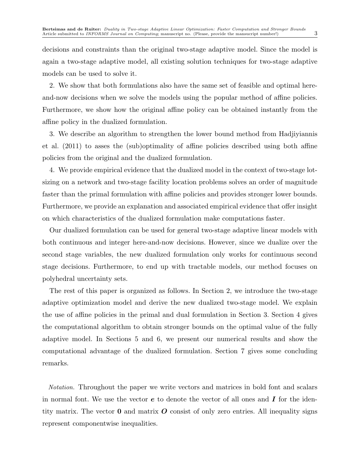decisions and constraints than the original two-stage adaptive model. Since the model is again a two-stage adaptive model, all existing solution techniques for two-stage adaptive models can be used to solve it.

2. We show that both formulations also have the same set of feasible and optimal hereand-now decisions when we solve the models using the popular method of affine policies. Furthermore, we show how the original affine policy can be obtained instantly from the affine policy in the dualized formulation.

3. We describe an algorithm to strengthen the lower bound method from [Hadjiyiannis](#page-24-13) [et al.](#page-24-13)  $(2011)$  to asses the (sub)optimality of affine policies described using both affine policies from the original and the dualized formulation.

4. We provide empirical evidence that the dualized model in the context of two-stage lotsizing on a network and two-stage facility location problems solves an order of magnitude faster than the primal formulation with affine policies and provides stronger lower bounds. Furthermore, we provide an explanation and associated empirical evidence that offer insight on which characteristics of the dualized formulation make computations faster.

Our dualized formulation can be used for general two-stage adaptive linear models with both continuous and integer here-and-now decisions. However, since we dualize over the second stage variables, the new dualized formulation only works for continuous second stage decisions. Furthermore, to end up with tractable models, our method focuses on polyhedral uncertainty sets.

The rest of this paper is organized as follows. In Section [2,](#page-3-0) we introduce the two-stage adaptive optimization model and derive the new dualized two-stage model. We explain the use of affine policies in the primal and dual formulation in Section [3.](#page-7-0) Section [4](#page-12-0) gives the computational algorithm to obtain stronger bounds on the optimal value of the fully adaptive model. In Sections [5](#page-14-0) and [6,](#page-18-0) we present our numerical results and show the computational advantage of the dualized formulation. Section [7](#page-23-2) gives some concluding remarks.

*Notation.* Throughout the paper we write vectors and matrices in bold font and scalars in normal font. We use the vector *e* to denote the vector of all ones and *I* for the identity matrix. The vector  $\bf{0}$  and matrix  $\bf{0}$  consist of only zero entries. All inequality signs represent componentwise inequalities.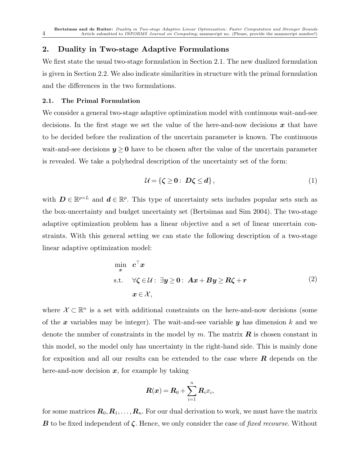## <span id="page-3-0"></span>2. Duality in Two-stage Adaptive Formulations

We first state the usual two-stage formulation in Section [2.1.](#page-3-1) The new dualized formulation is given in Section [2.2.](#page-4-0) We also indicate similarities in structure with the primal formulation and the differences in the two formulations.

#### <span id="page-3-1"></span>2.1. The Primal Formulation

We consider a general two-stage adaptive optimization model with continuous wait-and-see decisions. In the first stage we set the value of the here-and-now decisions *x* that have to be decided before the realization of the uncertain parameter is known. The continuous wait-and-see decisions  $y \ge 0$  have to be chosen after the value of the uncertain parameter is revealed. We take a polyhedral description of the uncertainty set of the form:

<span id="page-3-3"></span><span id="page-3-2"></span>
$$
\mathcal{U} = \{ \zeta \ge 0 : D\zeta \le d \},\tag{1}
$$

with  $\mathbf{D} \in \mathbb{R}^{p \times L}$  and  $\mathbf{d} \in \mathbb{R}^p$ . This type of uncertainty sets includes popular sets such as the box-uncertainty and budget uncertainty set [\(Bertsimas and Sim 2004\)](#page-24-14). The two-stage adaptive optimization problem has a linear objective and a set of linear uncertain constraints. With this general setting we can state the following description of a two-stage linear adaptive optimization model:

$$
\min_{x} c^{\top} x
$$
  
s.t.  $\forall \zeta \in \mathcal{U}: \exists y \geq 0: Ax + By \geq R\zeta + r$  (2)  
 $x \in \mathcal{X},$ 

where  $\mathcal{X} \subset \mathbb{R}^n$  is a set with additional constraints on the here-and-now decisions (some of the *x* variables may be integer). The wait-and-see variable *y* has dimension *k* and we denote the number of constraints in the model by *m*. The matrix *R* is chosen constant in this model, so the model only has uncertainty in the right-hand side. This is mainly done for exposition and all our results can be extended to the case where *R* depends on the here-and-now decision *x*, for example by taking

$$
\boldsymbol{R}(\boldsymbol{x}) = \boldsymbol{R}_0 + \sum_{i=1}^n \boldsymbol{R}_i x_i,
$$

for some matrices  $\mathbf{R}_0, \mathbf{R}_1, \ldots, \mathbf{R}_n$ . For our dual derivation to work, we must have the matrix  $\bm{B}$  to be fixed independent of  $\bm{\zeta}$ . Hence, we only consider the case of *fixed recourse*. Without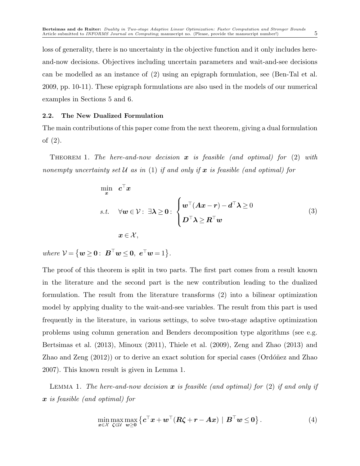loss of generality, there is no uncertainty in the objective function and it only includes hereand-now decisions. Objectives including uncertain parameters and wait-and-see decisions can be modelled as an instance of [\(2\)](#page-3-2) using an epigraph formulation, see [\(Ben-Tal et al.](#page-23-3) [2009,](#page-23-3) pp. 10-11). These epigraph formulations are also used in the models of our numerical examples in Sections [5](#page-14-0) and [6.](#page-18-0)

#### <span id="page-4-0"></span>2.2. The New Dualized Formulation

<span id="page-4-3"></span>The main contributions of this paper come from the next theorem, giving a dual formulation of [\(2\)](#page-3-2).

Theorem 1. *The here-and-now decision x is feasible (and optimal) for* [\(2\)](#page-3-2) *with nonempty uncertainty set U as in* [\(1\)](#page-3-3) *if and only if x is feasible (and optimal) for*

<span id="page-4-4"></span>
$$
\min_{\mathbf{x}} \quad \mathbf{c}^{\top} \mathbf{x} \\
\text{s.t.} \quad \forall \mathbf{w} \in \mathcal{V} : \exists \lambda \ge 0 : \begin{cases} \mathbf{w}^{\top} (A\mathbf{x} - \mathbf{r}) - \mathbf{d}^{\top} \lambda \ge 0 \\ \mathbf{D}^{\top} \lambda \ge \mathbf{R}^{\top} \mathbf{w} \end{cases} \tag{3}
$$
\n
$$
\mathbf{x} \in \mathcal{X},
$$

 $where \ \mathcal{V} = {\mathbf{w} \geq \mathbf{0}: \ \mathbf{B}^{\top} \mathbf{w} \leq \mathbf{0}, \ \mathbf{e}^{\top} \mathbf{w} = 1}.$ 

The proof of this theorem is split in two parts. The first part comes from a result known in the literature and the second part is the new contribution leading to the dualized formulation. The result from the literature transforms [\(2\)](#page-3-2) into a bilinear optimization model by applying duality to the wait-and-see variables. The result from this part is used frequently in the literature, in various settings, to solve two-stage adaptive optimization problems using column generation and Benders decomposition type algorithms (see e.g. [Bertsimas et al.](#page-24-1) [\(2013\)](#page-24-1), [Minoux](#page-25-9) [\(2011\)](#page-25-9), [Thiele et al.](#page-25-10) [\(2009\)](#page-25-10), [Zeng and Zhao](#page-25-7) [\(2013\)](#page-25-7) and [Zhao and Zeng](#page-25-3)  $(2012)$  or to derive an exact solution for special cases (Ordóñez and Zhao [2007\)](#page-25-4). This known result is given in Lemma [1.](#page-4-1)

Lemma 1. *The here-and-now decision x is feasible (and optimal) for* [\(2\)](#page-3-2) *if and only if x is feasible (and optimal) for*

<span id="page-4-2"></span><span id="page-4-1"></span>
$$
\min_{\boldsymbol{x}\in\mathcal{X}}\max_{\boldsymbol{\zeta}\in\mathcal{U}}\max_{\boldsymbol{w}\geq\boldsymbol{0}}\left\{\boldsymbol{c}^{\top}\boldsymbol{x}+\boldsymbol{w}^{\top}(\boldsymbol{R}\boldsymbol{\zeta}+\boldsymbol{r}-\boldsymbol{A}\boldsymbol{x})\mid\boldsymbol{B}^{\top}\boldsymbol{w}\leq\boldsymbol{0}\right\}.
$$
\n(4)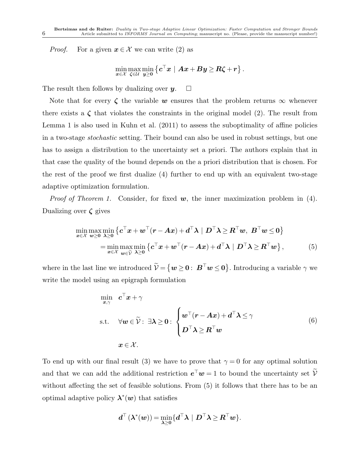*Proof.* For a given  $x \in \mathcal{X}$  we can write [\(2\)](#page-3-2) as

$$
\min_{\boldsymbol{x}\in\mathcal{X}}\max_{\boldsymbol{\zeta}\in\mathcal{U}}\min_{\boldsymbol{y}\ge{\bf 0}}\left\{\boldsymbol{c}^{\top}\boldsymbol{x} \mid \boldsymbol{A}\boldsymbol{x}+\boldsymbol{B}\boldsymbol{y}\geq\boldsymbol{R}\boldsymbol{\zeta}+\boldsymbol{r}\right\}.
$$

The result then follows by dualizing over  $y$ .  $\Box$ 

Note that for every  $\zeta$  the variable w ensures that the problem returns  $\infty$  whenever there exists a  $\zeta$  that violates the constraints in the original model [\(2\)](#page-3-2). The result from Lemma [1](#page-4-1) is also used in [Kuhn et al.](#page-25-11)  $(2011)$  to assess the suboptimality of affine policies in a two-stage *stochastic* setting. Their bound can also be used in robust settings, but one has to assign a distribution to the uncertainty set a priori. The authors explain that in that case the quality of the bound depends on the a priori distribution that is chosen. For the rest of the proof we first dualize [\(4\)](#page-4-2) further to end up with an equivalent two-stage adaptive optimization formulation.

*Proof of Theorem [1.](#page-4-3)* Consider, for fixed *w*, the inner maximization problem in [\(4\)](#page-4-2). Dualizing over  $\zeta$  gives

$$
\min_{\mathbf{x}\in\mathcal{X}}\max_{\mathbf{w}\geq\mathbf{0}}\min_{\mathbf{\lambda}\geq\mathbf{0}}\left\{\mathbf{c}^{\top}\mathbf{x}+\mathbf{w}^{\top}(\mathbf{r}-\mathbf{A}\mathbf{x})+\mathbf{d}^{\top}\mathbf{\lambda}\mid\mathbf{D}^{\top}\mathbf{\lambda}\geq\mathbf{R}^{\top}\mathbf{w},\ \mathbf{B}^{\top}\mathbf{w}\leq\mathbf{0}\right\}
$$
\n
$$
=\min_{\mathbf{x}\in\mathcal{X}}\max_{\mathbf{w}\in\widetilde{\mathcal{V}}}\min_{\mathbf{\lambda}\geq\mathbf{0}}\left\{\mathbf{c}^{\top}\mathbf{x}+\mathbf{w}^{\top}(\mathbf{r}-\mathbf{A}\mathbf{x})+\mathbf{d}^{\top}\mathbf{\lambda}\mid\mathbf{D}^{\top}\mathbf{\lambda}\geq\mathbf{R}^{\top}\mathbf{w}\right\},\tag{5}
$$

where in the last line we introduced  $\widetilde{\mathcal{V}} = \{ \boldsymbol{w} \ge \boldsymbol{0} : \ \boldsymbol{B}^\top \boldsymbol{w} \le \boldsymbol{0} \}$ . Introducing a variable  $\gamma$  we write the model using an epigraph formulation

<span id="page-5-0"></span>
$$
\min_{\mathbf{x}, \gamma} \quad \mathbf{c}^{\top} \mathbf{x} + \gamma
$$
\n
$$
\text{s.t.} \quad \forall \mathbf{w} \in \widetilde{\mathcal{V}}: \ \exists \lambda \ge 0: \ \begin{cases} \mathbf{w}^{\top} (\mathbf{r} - A \mathbf{x}) + \mathbf{d}^{\top} \lambda \le \gamma \\ \mathbf{D}^{\top} \lambda \ge \mathbf{R}^{\top} \mathbf{w} \end{cases} \tag{6}
$$
\n
$$
\mathbf{x} \in \mathcal{X}.
$$

To end up with our final result [\(3\)](#page-4-4) we have to prove that  $\gamma = 0$  for any optimal solution and that we can add the additional restriction  $e^{\top}w = 1$  to bound the uncertainty set  $\widetilde{V}$ without affecting the set of feasible solutions. From  $(5)$  it follows that there has to be an optimal adaptive policy  $\lambda^*(w)$  that satisfies

$$
\boldsymbol{d}^\top\left(\boldsymbol{\lambda}^*(\boldsymbol{w})\right)=\min_{\boldsymbol{\lambda}\ge{\bf 0}}\{\boldsymbol{d}^\top\boldsymbol{\lambda}\mid\boldsymbol{D}^\top\boldsymbol{\lambda}\ge{\boldsymbol{R}^\top\boldsymbol{w}}\}.
$$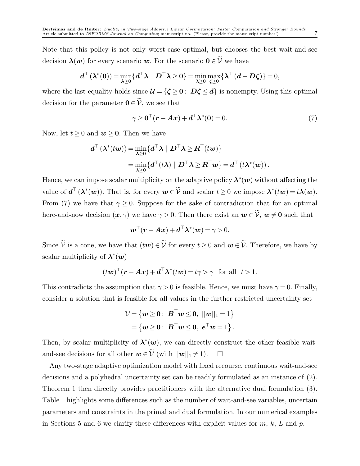Note that this policy is not only worst-case optimal, but chooses the best wait-and-see decision  $\lambda(w)$  for every scenario *w*. For the scenario  $0 \in \widetilde{\mathcal{V}}$  we have

$$
\boldsymbol{d}^{\top}(\boldsymbol{\lambda}^{*}(\mathbf{0})) = \min_{\boldsymbol{\lambda} \geq \mathbf{0}} \{ \boldsymbol{d}^{\top}\boldsymbol{\lambda} \mid \boldsymbol{D}^{\top}\boldsymbol{\lambda} \geq \mathbf{0} \} = \min_{\boldsymbol{\lambda} \geq \mathbf{0}} \max_{\boldsymbol{\zeta} \geq \mathbf{0}} \{ \boldsymbol{\lambda}^{\top} (\boldsymbol{d} - \boldsymbol{D}\boldsymbol{\zeta}) \} = 0,
$$

where the last equality holds since  $\mathcal{U} = \{ \zeta \ge 0 : D\zeta \le d \}$  is nonempty. Using this optimal decision for the parameter  $\mathbf{0} \in \widetilde{\mathcal{V}}$ , we see that

$$
\gamma \geq \mathbf{0}^{\top}(\mathbf{r} - \mathbf{A}\mathbf{x}) + \mathbf{d}^{\top}\mathbf{\lambda}^*(\mathbf{0}) = 0.
$$
 (7)

Now, let  $t \geq 0$  and  $w \geq 0$ . Then we have

$$
\begin{aligned} \boldsymbol{d}^\top \left( \boldsymbol{\lambda}^*(t\boldsymbol{w}) \right) = & \min_{\boldsymbol{\lambda} \geq \boldsymbol{0}} \{ \boldsymbol{d}^\top \boldsymbol{\lambda} \; | \; \boldsymbol{D}^\top \boldsymbol{\lambda} \geq \boldsymbol{R}^\top (t\boldsymbol{w}) \} \\ = & \min_{\boldsymbol{\lambda} \geq \boldsymbol{0}} \{ \boldsymbol{d}^\top (t\boldsymbol{\lambda}) \; | \; \boldsymbol{D}^\top \boldsymbol{\lambda} \geq \boldsymbol{R}^\top \boldsymbol{w} \} = \boldsymbol{d}^\top \left( t \boldsymbol{\lambda}^*(\boldsymbol{w}) \right). \end{aligned}
$$

Hence, we can impose scalar multiplicity on the adaptive policy  $\bm{\lambda}^*(\bm{w})$  without affecting the value of  $d^{\perp}(\lambda^*(w))$ . That is, for every  $w \in \mathcal{V}$  and scalar  $t \geq 0$  we impose  $\lambda^*(tw) = t\lambda(w)$ . From [\(7\)](#page-6-0) we have that  $\gamma \geq 0$ . Suppose for the sake of contradiction that for an optimal here-and-now decision  $(x, \gamma)$  we have  $\gamma > 0$ . Then there exist an  $w \in \tilde{\mathcal{V}}, w \neq 0$  such that

$$
\mathbf{w}^{\top}(\mathbf{r} - \mathbf{A}\mathbf{x}) + \mathbf{d}^{\top} \mathbf{\lambda}^*(\mathbf{w}) = \gamma > 0.
$$

Since  $\widetilde{\mathcal{V}}$  is a cone, we have that  $(tw) \in \widetilde{\mathcal{V}}$  for every  $t \geq 0$  and  $w \in \widetilde{\mathcal{V}}$ . Therefore, we have by scalar multiplicity of  $\lambda^*(w)$ 

$$
(t\boldsymbol{w})^{\top}(\boldsymbol{r}-\boldsymbol{A}\boldsymbol{x})+\boldsymbol{d}^{\top}\boldsymbol{\lambda}^*(t\boldsymbol{w})=t\gamma>\gamma
$$
 for all  $t>1$ .

This contradicts the assumption that  $\gamma > 0$  is feasible. Hence, we must have  $\gamma = 0$ . Finally, consider a solution that is feasible for all values in the further restricted uncertainty set

$$
\mathcal{V} = \{ \boldsymbol{w} \ge \boldsymbol{0} : \ \boldsymbol{B}^{\top} \boldsymbol{w} \le \boldsymbol{0}, \ ||\boldsymbol{w}||_1 = 1 \}
$$
  
=  $\{ \boldsymbol{w} \ge \boldsymbol{0} : \ \boldsymbol{B}^{\top} \boldsymbol{w} \le \boldsymbol{0}, \ \boldsymbol{e}^{\top} \boldsymbol{w} = 1 \}.$ 

Then, by scalar multiplicity of  $\lambda^*(w)$ , we can directly construct the other feasible waitand-see decisions for all other  $\mathbf{w} \in \widetilde{\mathcal{V}}$  (with  $||\mathbf{w}||_1 \neq 1$ ).  $\Box$ 

Any two-stage adaptive optimization model with fixed recourse, continuous wait-and-see decisions and a polyhedral uncertainty set can be readily formulated as an instance of [\(2\)](#page-3-2). Theorem [1](#page-4-3) then directly provides practitioners with the alternative dual formulation [\(3\)](#page-4-4). Table [1](#page-7-1) highlights some differences such as the number of wait-and-see variables, uncertain parameters and constraints in the primal and dual formulation. In our numerical examples in Sections [5](#page-14-0) and [6](#page-18-0) we clarify these differences with explicit values for  $m$ ,  $k$ ,  $L$  and  $p$ .

<span id="page-6-0"></span>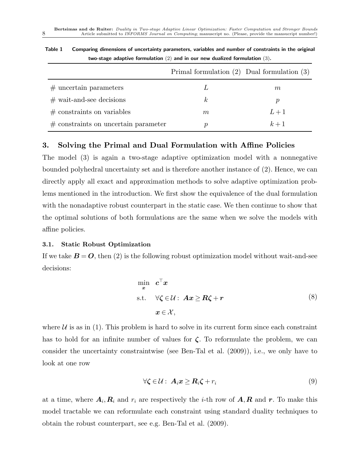|                                        | Primal formulation $(2)$ Dual formulation $(3)$ |       |
|----------------------------------------|-------------------------------------------------|-------|
| $#$ uncertain parameters               |                                                 | m     |
| $#$ wait-and-see decisions             | $\kappa$                                        | р     |
| $#$ constraints on variables           | m                                               | $L+1$ |
| $#$ constraints on uncertain parameter |                                                 | $k+1$ |

<span id="page-7-1"></span>Table 1 Comparing dimensions of uncertainty parameters, variables and number of constraints in the original two-stage adaptive formulation [\(2\)](#page-3-2) and in our new dualized formulation [\(3\)](#page-4-4).

# <span id="page-7-0"></span>3. Solving the Primal and Dual Formulation with Affine Policies

The model [\(3\)](#page-4-4) is again a two-stage adaptive optimization model with a nonnegative bounded polyhedral uncertainty set and is therefore another instance of [\(2\)](#page-3-2). Hence, we can directly apply all exact and approximation methods to solve adaptive optimization problems mentioned in the introduction. We first show the equivalence of the dual formulation with the nonadaptive robust counterpart in the static case. We then continue to show that the optimal solutions of both formulations are the same when we solve the models with affine policies.

## 3.1. Static Robust Optimization

If we take  $B = O$ , then [\(2\)](#page-3-2) is the following robust optimization model without wait-and-see decisions:

<span id="page-7-4"></span>
$$
\min_{x} c^{\top} x
$$
  
s.t.  $\forall \zeta \in \mathcal{U}: Ax \ge R\zeta + r$   
 $x \in \mathcal{X},$  (8)

where  $U$  is as in [\(1\)](#page-3-3). This problem is hard to solve in its current form since each constraint has to hold for an infinite number of values for  $\zeta$ . To reformulate the problem, we can consider the uncertainty constraintwise (see [Ben-Tal et al.](#page-23-3) [\(2009\)](#page-23-3)), i.e., we only have to look at one row

<span id="page-7-3"></span><span id="page-7-2"></span>
$$
\forall \zeta \in \mathcal{U}: \ \mathbf{A}_i \mathbf{x} \geq \mathbf{R}_i \zeta + r_i \tag{9}
$$

at a time, where  $A_i, R_i$  and  $r_i$  are respectively the *i*-th row of  $A, R$  and  $r$ . To make this model tractable we can reformulate each constraint using standard duality techniques to obtain the robust counterpart, see e.g. [Ben-Tal et al.](#page-23-3) [\(2009\)](#page-23-3).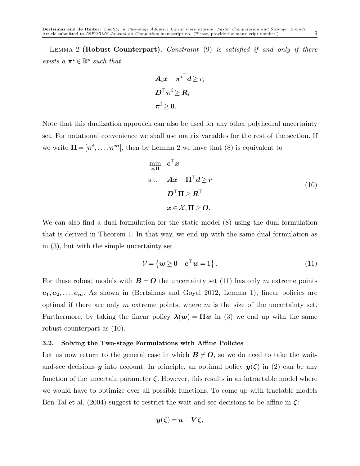Lemma 2 (Robust Counterpart). *Constraint* [\(9\)](#page-7-2) *is satisfied if and only if there exists a*  $\pi^{i} \in \mathbb{R}^{p}$  *such that* 

$$
\begin{aligned} &\boldsymbol{A}_i \boldsymbol{x} - \boldsymbol{\pi^i}^\top \boldsymbol{d} \geq r_i \\ &\boldsymbol{D}^\top \boldsymbol{\pi^i} \geq \boldsymbol{R}_i \\ &\boldsymbol{\pi^i} \geq 0. \end{aligned}
$$

Note that this dualization approach can also be used for any other polyhedral uncertainty set. For notational convenience we shall use matrix variables for the rest of the section. If we write  $\Pi = [\pi^i, \ldots, \pi^m]$ , then by Lemma [2](#page-7-3) we have that [\(8\)](#page-7-4) is equivalent to

<span id="page-8-1"></span>
$$
\min_{x,\Pi} c^{\top} x
$$
  
s.t.  $Ax - \Pi^{\top} d \ge r$   
 $D^{\top} \Pi \ge R^{\top}$   
 $x \in \mathcal{X}, \Pi \ge O.$  (10)

We can also find a dual formulation for the static model [\(8\)](#page-7-4) using the dual formulation that is derived in Theorem [1.](#page-4-3) In that way, we end up with the same dual formulation as in [\(3\)](#page-4-4), but with the simple uncertainty set

<span id="page-8-0"></span>
$$
\mathcal{V} = \left\{ \boldsymbol{w} \ge \boldsymbol{0}: \, \boldsymbol{e}^\top \boldsymbol{w} = 1 \right\}. \tag{11}
$$

For these robust models with  $\mathbf{B} = \mathbf{O}$  the uncertainty set [\(11\)](#page-8-0) has only *m* extreme points  $e_1, e_2, \ldots, e_m$ . As shown in [\(Bertsimas and Goyal 2012,](#page-24-11) Lemma 1), linear policies are optimal if there are only *m* extreme points, where *m* is the size of the uncertainty set. Furthermore, by taking the linear policy  $\lambda(w) = \Pi w$  in [\(3\)](#page-4-4) we end up with the same robust counterpart as [\(10\)](#page-8-1).

#### 3.2. Solving the Two-stage Formulations with Affine Policies

Let us now return to the general case in which  $B \neq O$ , so we do need to take the waitand-see decisions *y* into account. In principle, an optimal policy  $y(\zeta)$  in [\(2\)](#page-3-2) can be any function of the uncertain parameter  $\zeta$ . However, this results in an intractable model where we would have to optimize over all possible functions. To come up with tractable models [Ben-Tal et al.](#page-24-6) [\(2004\)](#page-24-6) suggest to restrict the wait-and-see decisions to be affine in  $\zeta$ :

$$
\boldsymbol{y}(\boldsymbol{\zeta}) = \boldsymbol{u} + \boldsymbol{V} \boldsymbol{\zeta},
$$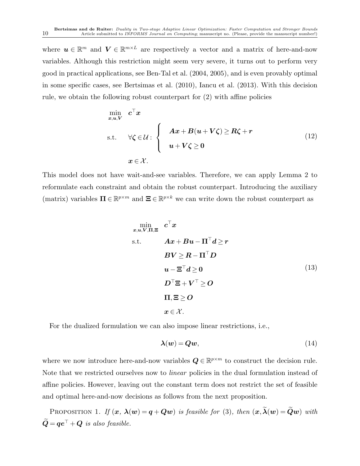where  $u \in \mathbb{R}^m$  and  $V \in \mathbb{R}^{m \times L}$  are respectively a vector and a matrix of here-and-now variables. Although this restriction might seem very severe, it turns out to perform very good in practical applications, see [Ben-Tal et al.](#page-24-6) [\(2004,](#page-24-6) [2005\)](#page-24-7), and is even provably optimal in some specific cases, see [Bertsimas et al.](#page-24-8) [\(2010\)](#page-24-8), [Iancu et al.](#page-25-6) [\(2013\)](#page-25-6). With this decision rule, we obtain the following robust counterpart for  $(2)$  with affine policies

$$
\min_{x,u,V} \mathbf{c}^{\top} x
$$
\n
$$
\text{s.t.} \quad \forall \zeta \in \mathcal{U}: \begin{cases} \mathbf{A}x + \mathbf{B}(u + V\zeta) \geq R\zeta + r \\ u + V\zeta \geq 0 \end{cases} \tag{12}
$$
\n
$$
x \in \mathcal{X}.
$$

This model does not have wait-and-see variables. Therefore, we can apply Lemma [2](#page-7-3) to reformulate each constraint and obtain the robust counterpart. Introducing the auxiliary (matrix) variables  $\Pi \in \mathbb{R}^{p \times m}$  and  $\Xi \in \mathbb{R}^{p \times k}$  we can write down the robust counterpart as

<span id="page-9-2"></span>
$$
\min_{x,u,V,\Pi,\Xi} c^{\top}x
$$
\ns.t. 
$$
Ax + Bu - \Pi^{\top}d \geq r
$$
\n
$$
BV \geq R - \Pi^{\top}D
$$
\n
$$
u - \Xi^{\top}d \geq 0
$$
\n
$$
D^{\top}\Xi + V^{\top} \geq O
$$
\n
$$
\Pi, \Xi \geq O
$$
\n
$$
x \in \mathcal{X}.
$$
\n(13)

For the dualized formulation we can also impose linear restrictions, i.e.,

<span id="page-9-1"></span><span id="page-9-0"></span>
$$
\boldsymbol{\lambda}(\boldsymbol{w}) = \boldsymbol{Q}\boldsymbol{w},\tag{14}
$$

where we now introduce here-and-now variables  $Q \in \mathbb{R}^{p \times m}$  to construct the decision rule. Note that we restricted ourselves now to *linear* policies in the dual formulation instead of affine policies. However, leaving out the constant term does not restrict the set of feasible and optimal here-and-now decisions as follows from the next proposition.

PROPOSITION 1. *If*  $(\mathbf{x}, \lambda(\mathbf{w}) = \mathbf{q} + \mathbf{Q}\mathbf{w})$  *is feasible for* [\(3\)](#page-4-4)*, then*  $(\mathbf{x}, \lambda(\mathbf{w}) = \mathbf{Q}\mathbf{w})$  *with*  $\widetilde{\mathbf{Q}} = \mathbf{q}\mathbf{e}^{\top} + \mathbf{Q}$  *is also feasible.*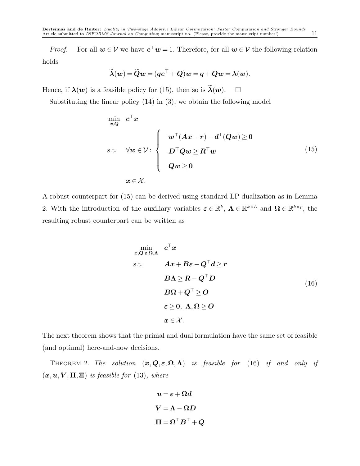*Proof.* For all  $w \in V$  we have  $e^{\top}w = 1$ . Therefore, for all  $w \in V$  the following relation holds

$$
\widetilde{\boldsymbol{\lambda}}(\boldsymbol{w}) = \widetilde{\boldsymbol{Q}} \boldsymbol{w} = (\boldsymbol{q}\boldsymbol{e}^\top + \boldsymbol{Q})\boldsymbol{w} = \boldsymbol{q} + \boldsymbol{Q}\boldsymbol{w} = \boldsymbol{\lambda}(\boldsymbol{w}).
$$

Hence, if  $\lambda(w)$  is a feasible policy for [\(15\)](#page-10-0), then so is  $\widetilde{\lambda}(w)$ .  $\Box$ 

Substituting the linear policy [\(14\)](#page-9-0) in [\(3\)](#page-4-4), we obtain the following model

<span id="page-10-0"></span>
$$
\begin{aligned}\n\min_{x,Q} & c^{\top}x \\
\text{s.t.} & \forall w \in \mathcal{V} : \left\{ \begin{array}{l}\n& w^{\top}(Ax - r) - d^{\top}(Qw) \ge 0 \\
& D^{\top}Qw \ge R^{\top}w \\
& Qw \ge 0\n\end{array} \right. \\
&\quad x \in \mathcal{X}.\n\end{aligned}\n\tag{15}
$$

A robust counterpart for [\(15\)](#page-10-0) can be derived using standard LP dualization as in Lemma [2.](#page-7-3) With the introduction of the auxiliary variables  $\boldsymbol{\varepsilon} \in \mathbb{R}^k$ ,  $\boldsymbol{\Lambda} \in \mathbb{R}^{k \times L}$  and  $\boldsymbol{\Omega} \in \mathbb{R}^{k \times p}$ , the resulting robust counterpart can be written as

<span id="page-10-1"></span>
$$
\min_{x,Q,\varepsilon,\Omega,\Lambda} \quad c^{\top}x
$$
\ns.t. 
$$
Ax + B\varepsilon - Q^{\top}d \geq r
$$
\n
$$
B\Lambda \geq R - Q^{\top}D
$$
\n
$$
B\Omega + Q^{\top} \geq O
$$
\n
$$
\varepsilon \geq 0, \quad \Lambda, \Omega \geq O
$$
\n
$$
x \in \mathcal{X}.
$$
\n(16)

The next theorem shows that the primal and dual formulation have the same set of feasible (and optimal) here-and-now decisions.

<span id="page-10-2"></span>THEOREM 2. The solution  $(x, Q, \varepsilon, \Omega, \Lambda)$  is feasible for [\(16\)](#page-10-1) if and only if  $(\mathbf{x}, \mathbf{u}, \mathbf{V}, \mathbf{\Pi}, \mathbf{\Xi})$  *is feasible for* [\(13\)](#page-9-1)*, where* 

$$
\begin{aligned} \boldsymbol{u} = \boldsymbol{\varepsilon} + \boldsymbol{\Omega} \boldsymbol{d} \\ \boldsymbol{V} = \boldsymbol{\Lambda} - \boldsymbol{\Omega} \boldsymbol{D} \\ \boldsymbol{\Pi} = \boldsymbol{\Omega}^{\top} \boldsymbol{B}^{\top} + \boldsymbol{Q} \end{aligned}
$$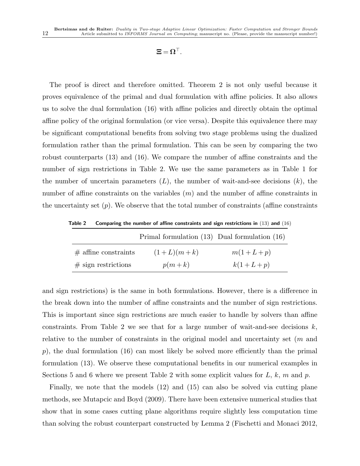$$
\boldsymbol{\Xi} = \boldsymbol{\Omega}^\top.
$$

The proof is direct and therefore omitted. Theorem [2](#page-10-2) is not only useful because it proves equivalence of the primal and dual formulation with affine policies. It also allows us to solve the dual formulation  $(16)$  with affine policies and directly obtain the optimal affine policy of the original formulation (or vice versa). Despite this equivalence there may be significant computational benefits from solving two stage problems using the dualized formulation rather than the primal formulation. This can be seen by comparing the two robust counterparts  $(13)$  and  $(16)$ . We compare the number of affine constraints and the number of sign restrictions in Table [2.](#page-11-0) We use the same parameters as in Table [1](#page-7-1) for the number of uncertain parameters (*L*), the number of wait-and-see decisions (*k*), the number of affine constraints on the variables  $(m)$  and the number of affine constraints in the uncertainty set  $(p)$ . We observe that the total number of constraints (affine constraints

|                         | Primal formulation $(13)$ Dual formulation $(16)$ |            |
|-------------------------|---------------------------------------------------|------------|
| $\#$ affine constraints | $(1+L)(m+k)$                                      | $m(1+L+p)$ |
| $#$ sign restrictions   | $p(m+k)$                                          | $k(1+L+p)$ |

<span id="page-11-0"></span>Table 2 Comparing the number of affine constraints and sign restrictions in  $(13)$  and  $(16)$ 

and sign restrictions) is the same in both formulations. However, there is a difference in the break down into the number of affine constraints and the number of sign restrictions. This is important since sign restrictions are much easier to handle by solvers than affine constraints. From Table [2](#page-11-0) we see that for a large number of wait-and-see decisions *k*, relative to the number of constraints in the original model and uncertainty set (*m* and  $p$ ), the dual formulation [\(16\)](#page-10-1) can most likely be solved more efficiently than the primal formulation [\(13\)](#page-9-1). We observe these computational benefits in our numerical examples in Sections [5](#page-14-0) and [6](#page-18-0) where we present Table [2](#page-11-0) with some explicit values for *L*, *k*, *m* and *p*.

Finally, we note that the models [\(12\)](#page-9-2) and [\(15\)](#page-10-0) can also be solved via cutting plane methods, see [Mutapcic and Boyd](#page-25-12) [\(2009\)](#page-25-12). There have been extensive numerical studies that show that in some cases cutting plane algorithms require slightly less computation time than solving the robust counterpart constructed by Lemma [2](#page-7-3) [\(Fischetti and Monaci 2012,](#page-24-15)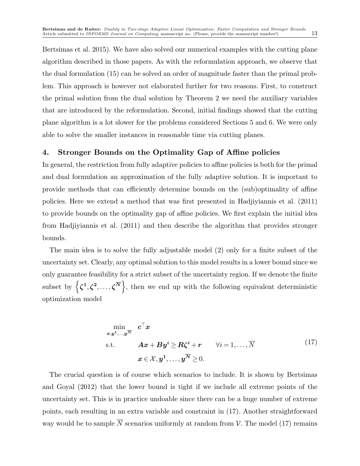[Bertsimas et al. 2015\)](#page-24-16). We have also solved our numerical examples with the cutting plane algorithm described in those papers. As with the reformulation approach, we observe that the dual formulation [\(15\)](#page-10-0) can be solved an order of magnitude faster than the primal problem. This approach is however not elaborated further for two reasons. First, to construct the primal solution from the dual solution by Theorem [2](#page-10-2) we need the auxiliary variables that are introduced by the reformulation. Second, initial findings showed that the cutting plane algorithm is a lot slower for the problems considered Sections [5](#page-14-0) and [6.](#page-18-0) We were only able to solve the smaller instances in reasonable time via cutting planes.

## <span id="page-12-0"></span>4. Stronger Bounds on the Optimality Gap of Affine policies

In general, the restriction from fully adaptive policies to affine policies is both for the primal and dual formulation an approximation of the fully adaptive solution. It is important to provide methods that can efficiently determine bounds on the (sub)optimality of affine policies. Here we extend a method that was first presented in [Hadjiyiannis et al.](#page-24-13) [\(2011\)](#page-24-13) to provide bounds on the optimality gap of affine policies. We first explain the initial idea from [Hadjiyiannis et al.](#page-24-13) [\(2011\)](#page-24-13) and then describe the algorithm that provides stronger bounds.

The main idea is to solve the fully adjustable model [\(2\)](#page-3-2) only for a finite subset of the uncertainty set. Clearly, any optimal solution to this model results in a lower bound since we only guarantee feasibility for a strict subset of the uncertainty region. If we denote the finite subset by  $\left\{\zeta^1,\zeta^2,\ldots,\zeta^{\overline{N}}\right\}$ , then we end up with the following equivalent deterministic optimization model

<span id="page-12-1"></span>
$$
\min_{x,y^1,\dots,y^{\overline{N}}} c^{\top}x
$$
\n
$$
\text{s.t.} \qquad Ax + By^i \ge R\zeta^i + r \qquad \forall i = 1,\dots,\overline{N}
$$
\n
$$
x \in \mathcal{X}, y^1, \dots, y^{\overline{N}} \ge 0.
$$
\n
$$
(17)
$$

The crucial question is of course which scenarios to include. It is shown by [Bertsimas](#page-24-11) [and Goyal](#page-24-11) [\(2012\)](#page-24-11) that the lower bound is tight if we include all extreme points of the uncertainty set. This is in practice undoable since there can be a huge number of extreme points, each resulting in an extra variable and constraint in [\(17\)](#page-12-1). Another straightforward way would be to sample  $\overline{N}$  scenarios uniformly at random from *V*. The model [\(17\)](#page-12-1) remains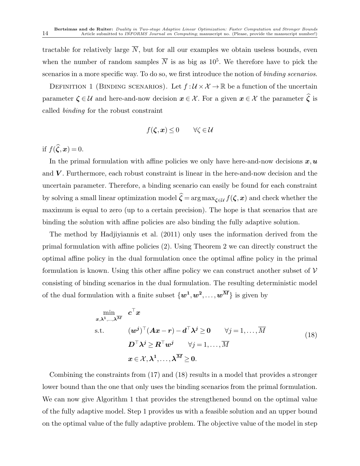tractable for relatively large  $\overline{N}$ , but for all our examples we obtain useless bounds, even when the number of random samples  $\overline{N}$  is as big as 10<sup>5</sup>. We therefore have to pick the scenarios in a more specific way. To do so, we first introduce the notion of *binding scenarios*.

DEFINITION 1 (BINDING SCENARIOS). Let  $f: \mathcal{U} \times \mathcal{X} \to \mathbb{R}$  be a function of the uncertain parameter  $\zeta \in \mathcal{U}$  and here-and-now decision  $x \in \mathcal{X}$ . For a given  $x \in \mathcal{X}$  the parameter  $\zeta$  is called *binding* for the robust constraint

$$
f(\boldsymbol{\zeta}, \boldsymbol{x}) \leq 0 \qquad \forall \boldsymbol{\zeta} \in \mathcal{U}
$$

if  $f(\boldsymbol{\zeta}, \boldsymbol{x}) = 0$ .

In the primal formulation with affine policies we only have here-and-now decisions  $x, u$ and *V* . Furthermore, each robust constraint is linear in the here-and-now decision and the uncertain parameter. Therefore, a binding scenario can easily be found for each constraint by solving a small linear optimization model  $\zeta = \arg \max_{\zeta \in \mathcal{U}} f(\zeta, x)$  and check whether the maximum is equal to zero (up to a certain precision). The hope is that scenarios that are binding the solution with affine policies are also binding the fully adaptive solution.

The method by [Hadjiyiannis et al.](#page-24-13) [\(2011\)](#page-24-13) only uses the information derived from the primal formulation with affine policies  $(2)$ . Using Theorem [2](#page-10-2) we can directly construct the optimal affine policy in the dual formulation once the optimal affine policy in the primal formulation is known. Using this other affine policy we can construct another subset of  $V$ consisting of binding scenarios in the dual formulation. The resulting deterministic model of the dual formulation with a finite subset  $\{w^1, w^2, \ldots, w^{\overline{M}}\}$  is given by

<span id="page-13-0"></span>
$$
\min_{\mathbf{x}, \lambda^1, \dots, \lambda^{\overline{M}}} \mathbf{c}^{\top} \mathbf{x}
$$
\n
$$
\text{s.t.} \qquad (\mathbf{w}^j)^{\top} (\mathbf{A}\mathbf{x} - \mathbf{r}) - \mathbf{d}^{\top} \lambda^j \ge 0 \qquad \forall j = 1, \dots, \overline{M}
$$
\n
$$
\mathbf{D}^{\top} \lambda^j \ge \mathbf{R}^{\top} \mathbf{w}^j \qquad \forall j = 1, \dots, \overline{M}
$$
\n
$$
\mathbf{x} \in \mathcal{X}, \lambda^1, \dots, \lambda^{\overline{M}} \ge 0.
$$
\n(18)

Combining the constraints from [\(17\)](#page-12-1) and [\(18\)](#page-13-0) results in a model that provides a stronger lower bound than the one that only uses the binding scenarios from the primal formulation. We can now give Algorithm [1](#page-14-1) that provides the strengthened bound on the optimal value of the fully adaptive model. Step 1 provides us with a feasible solution and an upper bound on the optimal value of the fully adaptive problem. The objective value of the model in step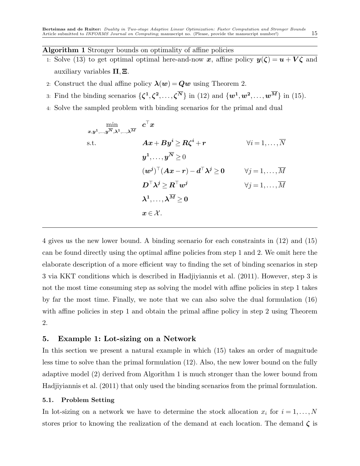## Algorithm 1 Stronger bounds on optimality of affine policies

- <span id="page-14-1"></span>1: Solve [\(13\)](#page-9-1) to get optimal optimal here-and-now *x*, affine policy  $y(\zeta) = u + V\zeta$  and auxiliary variables  $\Pi$ ,  $\Xi$ .
- 2: Construct the dual affine policy  $\lambda(w) = Qw$  using Theorem [2.](#page-10-2)
- 3: Find the binding scenarios  $\{\zeta^1, \zeta^2, \ldots, \zeta^{\overline{N}}\}$  in [\(12\)](#page-9-2) and  $\{w^1, w^2, \ldots, w^{\overline{M}}\}$  in [\(15\)](#page-10-0).
- 4: Solve the sampled problem with binding scenarios for the primal and dual

$$
\begin{aligned}\n&\min_{\boldsymbol{x},\boldsymbol{y}^1,\dots,\boldsymbol{y}^{\overline{N}},\boldsymbol{\lambda}^1,\dots,\boldsymbol{\lambda}^{\overline{M}}} & \boldsymbol{c}^{\top}\boldsymbol{x} \\
&\text{s.t.} & \boldsymbol{Ax} + \boldsymbol{B}\boldsymbol{y}^i \geq \boldsymbol{R}\boldsymbol{\zeta}^i + \boldsymbol{r} & \forall i = 1,\dots,\overline{N} \\
& \boldsymbol{y}^1,\dots,\boldsymbol{y}^{\overline{N}} \geq 0 & \\
& (\boldsymbol{w}^j)^{\top}(\boldsymbol{Ax} - \boldsymbol{r}) - \boldsymbol{d}^{\top}\boldsymbol{\lambda}^j \geq \boldsymbol{0} & \forall j = 1,\dots,\overline{M} \\
& \boldsymbol{D}^{\top}\boldsymbol{\lambda}^j \geq \boldsymbol{R}^{\top}\boldsymbol{w}^j & \forall j = 1,\dots,\overline{M} \\
& \boldsymbol{\lambda}^1,\dots,\boldsymbol{\lambda}^{\overline{M}} \geq \boldsymbol{0} & \\
& \boldsymbol{x} \in \mathcal{X}.\n\end{aligned}
$$

4 gives us the new lower bound. A binding scenario for each constraints in [\(12\)](#page-9-2) and [\(15\)](#page-10-0) can be found directly using the optimal affine policies from step 1 and 2. We omit here the elaborate description of a more efficient way to finding the set of binding scenarios in step 3 via KKT conditions which is described in [Hadjiyiannis et al.](#page-24-13) [\(2011\)](#page-24-13). However, step 3 is not the most time consuming step as solving the model with affine policies in step 1 takes by far the most time. Finally, we note that we can also solve the dual formulation [\(16\)](#page-10-1) with affine policies in step 1 and obtain the primal affine policy in step 2 using Theorem [2.](#page-10-2)

## <span id="page-14-0"></span>5. Example 1: Lot-sizing on a Network

In this section we present a natural example in which [\(15\)](#page-10-0) takes an order of magnitude less time to solve than the primal formulation [\(12\)](#page-9-2). Also, the new lower bound on the fully adaptive model [\(2\)](#page-3-2) derived from Algorithm [1](#page-14-1) is much stronger than the lower bound from [Hadjiyiannis et al.](#page-24-13) [\(2011\)](#page-24-13) that only used the binding scenarios from the primal formulation.

## 5.1. Problem Setting

In lot-sizing on a network we have to determine the stock allocation  $x_i$  for  $i = 1, ..., N$ stores prior to knowing the realization of the demand at each location. The demand  $\zeta$  is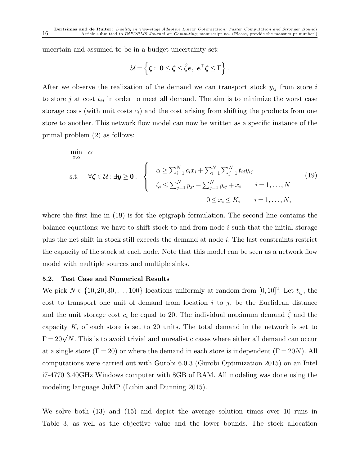uncertain and assumed to be in a budget uncertainty set:

<span id="page-15-0"></span>
$$
\mathcal{U} = \left\{ \zeta: \ 0 \leq \zeta \leq \hat{\zeta} e, \ e^{\top} \zeta \leq \Gamma \right\}.
$$

After we observe the realization of the demand we can transport stock  $y_{ij}$  from store *i* to store  $j$  at cost  $t_{ij}$  in order to meet all demand. The aim is to minimize the worst case storage costs (with unit costs  $c_i$ ) and the cost arising from shifting the products from one store to another. This network flow model can now be written as a specific instance of the primal problem [\(2\)](#page-3-2) as follows:

$$
\min_{\mathbf{x}, \alpha} \alpha
$$
\n
$$
\text{s.t.} \quad \forall \zeta \in \mathcal{U} : \exists \mathbf{y} \ge \mathbf{0} : \begin{cases}\n\alpha \ge \sum_{i=1}^{N} c_i x_i + \sum_{i=1}^{N} \sum_{j=1}^{N} t_{ij} y_{ij} \\
\zeta_i \le \sum_{j=1}^{N} y_{ji} - \sum_{j=1}^{N} y_{ij} + x_i & i = 1, \dots, N\n\end{cases} (19)
$$
\n
$$
0 \le x_i \le K_i \quad i = 1, \dots, N,
$$

where the first line in [\(19\)](#page-15-0) is for the epigraph formulation. The second line contains the balance equations: we have to shift stock to and from node *i* such that the initial storage plus the net shift in stock still exceeds the demand at node *i*. The last constraints restrict the capacity of the stock at each node. Note that this model can be seen as a network flow model with multiple sources and multiple sinks.

#### 5.2. Test Case and Numerical Results

We pick  $N \in \{10, 20, 30, \ldots, 100\}$  locations uniformly at random from  $[0, 10]^2$ . Let  $t_{ij}$ , the cost to transport one unit of demand from location *i* to *j*, be the Euclidean distance and the unit storage cost  $c_i$  be equal to 20. The individual maximum demand  $\hat{\zeta}$  and the capacity  $K_i$  of each store is set to 20 units. The total demand in the network is set to  $\Gamma = 20\sqrt{N}$ . This is to avoid trivial and unrealistic cases where either all demand can occur at a single store  $(\Gamma = 20)$  or where the demand in each store is independent  $(\Gamma = 20N)$ . All computations were carried out with Gurobi 6.0.3 [\(Gurobi Optimization 2015\)](#page-24-17) on an Intel i7-4770 3.40GHz Windows computer with 8GB of RAM. All modeling was done using the modeling language JuMP [\(Lubin and Dunning 2015\)](#page-25-13).

We solve both [\(13\)](#page-9-1) and [\(15\)](#page-10-0) and depict the average solution times over 10 runs in Table [3,](#page-16-0) as well as the objective value and the lower bounds. The stock allocation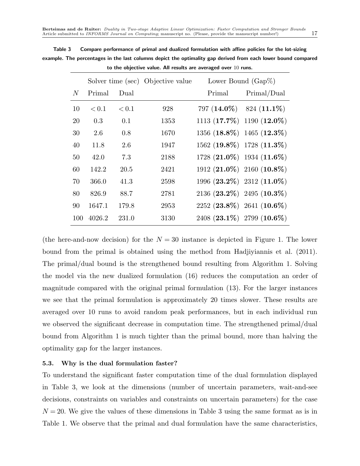|     | Solver time (sec) Objective value |       |      | Lower Bound $(Gap\%)$ |                               |
|-----|-----------------------------------|-------|------|-----------------------|-------------------------------|
| N   | Primal                            | Dual  |      | Primal                | Primal/Dual                   |
| 10  | < 0.1                             | < 0.1 | 928  | 797 (14.0%)           | 824 $(11.1\%)$                |
| 20  | 0.3                               | 0.1   | 1353 |                       | 1113 (17.7%) 1190 (12.0%)     |
| 30  | 2.6                               | 0.8   | 1670 |                       | 1356 (18.8%) 1465 (12.3%)     |
| 40  | 11.8                              | 2.6   | 1947 |                       | 1562 (19.8%) 1728 (11.3%)     |
| 50  | 42.0                              | 7.3   | 2188 |                       | 1728 (21.0%) 1934 (11.6%)     |
| 60  | 142.2                             | 20.5  | 2421 |                       | 1912 (21.0%) 2160 (10.8%)     |
| 70  | 366.0                             | 41.3  | 2598 |                       | 1996 (23.2%) 2312 (11.0%)     |
| 80  | 826.9                             | 88.7  | 2781 |                       | 2136 (23.2%) 2495 (10.3%)     |
| 90  | 1647.1                            | 179.8 | 2953 |                       | $2252$ (23.8%) 2641 (10.6%)   |
| 100 | 4026.2                            | 231.0 | 3130 |                       | $2408~(23.1\%)~2799~(10.6\%)$ |

<span id="page-16-0"></span>Table 3 Compare performance of primal and dualized formulation with affine policies for the lot-sizing example. The percentages in the last columns depict the optimality gap derived from each lower bound compared to the objective value. All results are averaged over  $10$  runs.

(the here-and-now decision) for the  $N = 30$  instance is depicted in Figure [1.](#page-17-0) The lower bound from the primal is obtained using the method from [Hadjiyiannis et al.](#page-24-13) [\(2011\)](#page-24-13). The primal/dual bound is the strengthened bound resulting from Algorithm [1.](#page-14-1) Solving the model via the new dualized formulation [\(16\)](#page-10-1) reduces the computation an order of magnitude compared with the original primal formulation [\(13\)](#page-9-1). For the larger instances we see that the primal formulation is approximately 20 times slower. These results are averaged over 10 runs to avoid random peak performances, but in each individual run we observed the significant decrease in computation time. The strengthened primal/dual bound from Algorithm [1](#page-14-1) is much tighter than the primal bound, more than halving the optimality gap for the larger instances.

#### 5.3. Why is the dual formulation faster?

To understand the significant faster computation time of the dual formulation displayed in Table [3,](#page-16-0) we look at the dimensions (number of uncertain parameters, wait-and-see decisions, constraints on variables and constraints on uncertain parameters) for the case  $N = 20$ . We give the values of these dimensions in Table [3](#page-16-0) using the same format as is in Table [1.](#page-7-1) We observe that the primal and dual formulation have the same characteristics,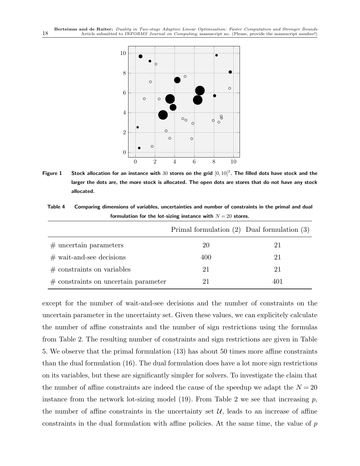<span id="page-17-0"></span>

Figure 1 Stock allocation for an instance with  $30$  stores on the grid  $[0, 10]^2$ . The filled dots have stock and the larger the dots are, the more stock is allocated. The open dots are stores that do not have any stock allocated.

Table 4 Comparing dimensions of variables, uncertainties and number of constraints in the primal and dual formulation for the lot-sizing instance with  $N = 20$  stores.

|                                        | Primal formulation $(2)$ Dual formulation $(3)$ |     |
|----------------------------------------|-------------------------------------------------|-----|
| $#$ uncertain parameters               | 20                                              | 21  |
| $#$ wait-and-see decisions             | 400                                             | 21  |
| $\#$ constraints on variables          | 21                                              | 21  |
| $#$ constraints on uncertain parameter |                                                 | 401 |

except for the number of wait-and-see decisions and the number of constraints on the uncertain parameter in the uncertainty set. Given these values, we can explicitely calculate the number of affine constraints and the number of sign restrictions using the formulas from Table [2.](#page-11-0) The resulting number of constraints and sign restrictions are given in Table [5.](#page-18-1) We observe that the primal formulation [\(13\)](#page-9-1) has about 50 times more affine constraints than the dual formulation [\(16\)](#page-10-1). The dual formulation does have a lot more sign restrictions on its variables, but these are significantly simpler for solvers. To investigate the claim that the number of affine constraints are indeed the cause of the speedup we adapt the  $N = 20$ instance from the network lot-sizing model  $(19)$ . From Table [2](#page-11-0) we see that increasing  $p$ , the number of affine constraints in the uncertainty set  $\mathcal{U}$ , leads to an increase of affine constraints in the dual formulation with affine policies. At the same time, the value of *p*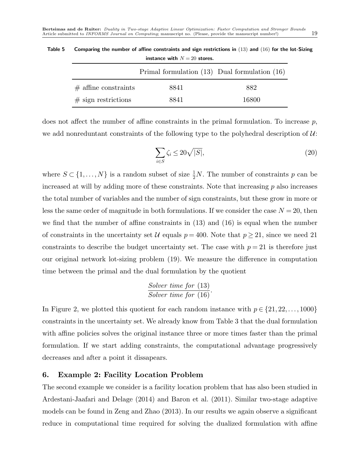|                         | Primal formulation $(13)$ Dual formulation $(16)$ |       |
|-------------------------|---------------------------------------------------|-------|
| $\#$ affine constraints | 8841                                              | 882   |
| $\#$ sign restrictions  | 8841                                              | 16800 |

<span id="page-18-1"></span>Table 5 Comparing the number of affine constraints and sign restrictions in  $(13)$  and  $(16)$  for the lot-Sizing instance with  $N = 20$  stores.

does not affect the number of affine constraints in the primal formulation. To increase  $p$ , we add nonreduntant constraints of the following type to the polyhedral description of *U*:

$$
\sum_{i \in S} \zeta_i \le 20\sqrt{|S|},\tag{20}
$$

where  $S \subset \{1, \ldots, N\}$  is a random subset of size  $\frac{1}{2}N$ . The number of constraints *p* can be increased at will by adding more of these constraints. Note that increasing *p* also increases the total number of variables and the number of sign constraints, but these grow in more or less the same order of magnitude in both formulations. If we consider the case  $N = 20$ , then we find that the number of affine constraints in  $(13)$  and  $(16)$  is equal when the number of constraints in the uncertainty set *U* equals  $p = 400$ . Note that  $p \ge 21$ , since we need 21 constraints to describe the budget uncertainty set. The case with  $p = 21$  is therefore just our original network lot-sizing problem  $(19)$ . We measure the difference in computation time between the primal and the dual formulation by the quotient

Solver time for 
$$
(13)
$$
  
\nSolver time for  $(16)$ .

In Figure [2,](#page-19-0) we plotted this quotient for each random instance with  $p \in \{21, 22, \ldots, 1000\}$ constraints in the uncertainty set. We already know from Table [3](#page-16-0) that the dual formulation with affine policies solves the original instance three or more times faster than the primal formulation. If we start adding constraints, the computational advantage progressively decreases and after a point it dissapears.

## <span id="page-18-0"></span>6. Example 2: Facility Location Problem

The second example we consider is a facility location problem that has also been studied in [Ardestani-Jaafari and Delage](#page-23-0) [\(2014\)](#page-23-0) and [Baron et al.](#page-23-4) [\(2011\)](#page-23-4). Similar two-stage adaptive models can be found in [Zeng and Zhao](#page-25-7) [\(2013\)](#page-25-7). In our results we again observe a significant reduce in computational time required for solving the dualized formulation with affine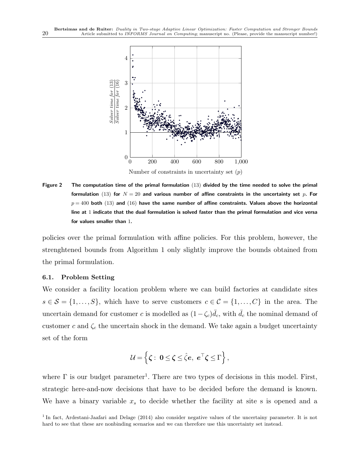

<span id="page-19-0"></span>Number of constraints in uncertainty set (*p*)

Figure 2 The computation time of the primal formulation [\(13\)](#page-9-1) divided by the time needed to solve the primal formulation [\(13\)](#page-9-1) for  $N = 20$  and various number of affine constraints in the uncertainty set p. For  $p = 400$  both [\(13\)](#page-9-1) and [\(16\)](#page-10-1) have the same number of affine constraints. Values above the horizontal line at 1 indicate that the dual formulation is solved faster than the primal formulation and vice versa for values smaller than 1.

policies over the primal formulation with ane policies. For this problem, however, the strenghtened bounds from Algorithm [1](#page-14-1) only slightly improve the bounds obtained from the primal formulation.

#### 6.1. Problem Setting

We consider a facility location problem where we can build factories at candidate sites  $s \in \mathcal{S} = \{1, \ldots, S\}$ , which have to serve customers  $c \in \mathcal{C} = \{1, \ldots, C\}$  in the area. The uncertain demand for customer *c* is modelled as  $(1 - \zeta_c) \bar{d}_c$ , with  $\bar{d}_c$  the nominal demand of customer  $c$  and  $\zeta_c$  the uncertain shock in the demand. We take again a budget uncertainty set of the form

$$
\mathcal{U} = \left\{ \zeta: \ 0 \leq \zeta \leq \hat{\zeta} e, \ e^{\top} \zeta \leq \Gamma \right\},\
$$

where  $\Gamma$  is our budget parameter<sup>[1](#page-19-1)</sup>. There are two types of decisions in this model. First, strategic here-and-now decisions that have to be decided before the demand is known. We have a binary variable  $x<sub>s</sub>$  to decide whether the facility at site s is opened and a

<span id="page-19-1"></span><sup>&</sup>lt;sup>1</sup> In fact, [Ardestani-Jaafari and Delage](#page-23-0) [\(2014\)](#page-23-0) also consider negative values of the uncertainy parameter. It is not hard to see that these are nonbinding scenarios and we can therefore use this uncertainty set instead.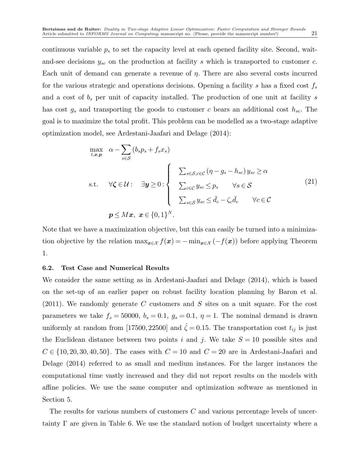continuous variable *p<sup>s</sup>* to set the capacity level at each opened facility site. Second, waitand-see decisions *ysc* on the production at facility *s* which is transported to customer *c*. Each unit of demand can generate a revenue of  $\eta$ . There are also several costs incurred for the various strategic and operations decisions. Opening a facility *s* has a fixed cost *f<sup>s</sup>* and a cost of *b<sup>s</sup>* per unit of capacity installed. The production of one unit at facility *s* has cost *g<sup>s</sup>* and transporting the goods to customer *c* bears an additional cost *hsc*. The goal is to maximize the total profit. This problem can be modelled as a two-stage adaptive optimization model, see [Ardestani-Jaafari and Delage](#page-23-0) [\(2014\)](#page-23-0):

<span id="page-20-0"></span>
$$
\max_{t,x,p} \alpha - \sum_{s \in S} (b_s p_s + f_s x_s)
$$
\n
$$
\text{s.t.} \quad \forall \zeta \in \mathcal{U}: \quad \exists y \ge 0: \left\{ \begin{array}{ll} \sum_{s \in S, c \in \mathcal{C}} (\eta - g_s - h_{sc}) y_{sc} \ge \alpha \\ \sum_{c \in \mathcal{C}} y_{sc} \le p_s & \forall s \in \mathcal{S} \\ \sum_{s \in \mathcal{S}} y_{sc} \le \overline{d}_c - \zeta_c \overline{d}_c & \forall c \in \mathcal{C} \end{array} \right. \tag{21}
$$
\n
$$
p \le Mx, \ x \in \{0, 1\}^N.
$$

Note that we have a maximization objective, but this can easily be turned into a minimization objective by the relation  $\max_{x \in \mathcal{X}} f(x) = -\min_{x \in \mathcal{X}} (-f(x))$  before applying Theorem [1.](#page-4-3)

#### 6.2. Test Case and Numerical Results

We consider the same setting as in [Ardestani-Jaafari and Delage](#page-23-0) [\(2014\)](#page-23-0), which is based on the set-up of an earlier paper on robust facility location planning by [Baron et al.](#page-23-4) [\(2011\)](#page-23-4). We randomly generate *C* customers and *S* sites on a unit square. For the cost parameters we take  $f_s = 50000$ ,  $b_s = 0.1$ ,  $g_s = 0.1$ ,  $\eta = 1$ . The nominal demand is drawn uniformly at random from [17500, 22500] and  $\hat{\zeta} = 0.15$ . The transportation cost  $t_{ij}$  is just the Euclidean distance between two points *i* and *j*. We take  $S = 10$  possible sites and  $C \in \{10, 20, 30, 40, 50\}$ . The cases with  $C = 10$  and  $C = 20$  are in [Ardestani-Jaafari and](#page-23-0) [Delage](#page-23-0) [\(2014\)](#page-23-0) referred to as small and medium instances. For the larger instances the computational time vastly increased and they did not report results on the models with affine policies. We use the same computer and optimization software as mentioned in Section [5.](#page-14-0)

The results for various numbers of customers *C* and various percentage levels of uncertainty  $\Gamma$  are given in Table [6.](#page-22-0) We use the standard notion of budget uncertainty where a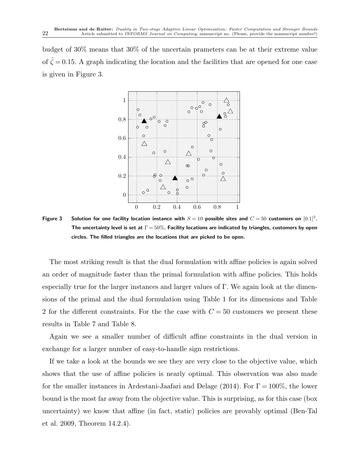budget of 30% means that 30% of the uncertain prameters can be at their extreme value of  $\hat{\zeta} = 0.15$ . A graph indicating the location and the facilities that are opened for one case is given in Figure [3.](#page-21-0)

<span id="page-21-0"></span>

Figure 3 Solution for one facility location instance with  $S = 10$  possible sites and  $C = 50$  customers on  $[0.1]^2$ . The uncertainty level is set at  $\Gamma = 50\%$ . Facility locations are indicated by triangles, customers by open circles. The filled triangles are the locations that are picked to be open.

The most striking result is that the dual formulation with affine policies is again solved an order of magnitude faster than the primal formulation with affine policies. This holds especially true for the larger instances and larger values of  $\Gamma$ . We again look at the dimensions of the primal and the dual formulation using Table [1](#page-7-1) for its dimensions and Table [2](#page-11-0) for the different constraints. For the the case with  $C = 50$  customers we present these results in Table [7](#page-23-5) and Table [8.](#page-23-6)

Again we see a smaller number of difficult affine constraints in the dual version in exchange for a larger number of easy-to-handle sign restrictions.

If we take a look at the bounds we see they are very close to the objective value, which shows that the use of affine policies is nearly optimal. This observation was also made for the smaller instances in [Ardestani-Jaafari and Delage](#page-23-0) [\(2014\)](#page-23-0). For  $\Gamma = 100\%$ , the lower bound is the most far away from the objective value. This is surprising, as for this case (box uncertainty) we know that affine (in fact, static) policies are provably optimal [\(Ben-Tal](#page-23-3) [et al. 2009,](#page-23-3) Theorem 14.2.4).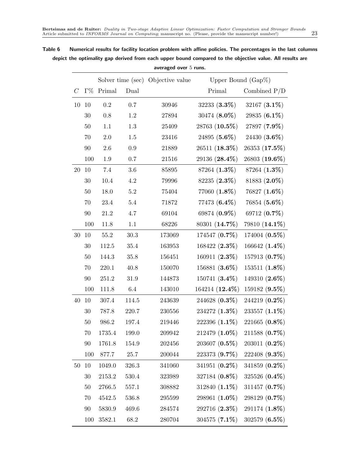|                       |            | Solver time (sec) Objective value |           |        | Upper Bound $(Gap\%)$ |                  |
|-----------------------|------------|-----------------------------------|-----------|--------|-----------------------|------------------|
| $\mathcal{C}_{0}^{0}$ | $\Gamma\%$ | Primal                            | Dual      |        | Primal                | Combined $P/D$   |
| 10                    | 10         | $\rm 0.2$                         | $0.7\,$   | 30946  | 32233 $(3.3\%)$       | 32167 (3.1%)     |
|                       | $30\,$     | $0.8\,$                           | 1.2       | 27894  | 30474 (8.0%)          | 29835 (6.1%)     |
|                       | $50\,$     | 1.1                               | $1.3\,$   | 25409  | 28763 (10.5%)         | 27897 (7.9%)     |
|                       | $70\,$     | $2.0\,$                           | $1.5\,$   | 23416  | 24895 (5.6%)          | 24430 (3.6%)     |
|                       | $90\,$     | $2.6\,$                           | $0.9\,$   | 21889  | 26511 $(18.3\%)$      | 26353 $(17.5\%)$ |
|                       | 100        | 1.9                               | $0.7\,$   | 21516  | 29136 (28.4%)         | 26803 $(19.6\%)$ |
| 20                    | 10         | $7.4\,$                           | $3.6\,$   | 85895  | 87264 (1.3%)          | 87264 (1.3%)     |
|                       | $30\,$     | 10.4                              | 4.2       | 79996  | 82235 (2.3%)          | 81883 (2.0%)     |
|                       | $50\,$     | 18.0                              | $5.2\,$   | 75404  | 77060 (1.8%)          | 76827 (1.6%)     |
|                       | $70\,$     | $23.4\,$                          | $5.4\,$   | 71872  | 77473 (6.4%)          | 76854 (5.6%)     |
|                       | $90\,$     | $21.2\,$                          | 4.7       | 69104  | 69874 (0.9%)          | 69712 (0.7%)     |
|                       | 100        | 11.8                              | 1.1       | 68226  | 80301 (14.7%)         | 79810 (14.1%)    |
| 30                    | 10         | $55.2\,$                          | $30.3\,$  | 173069 | 174547 (0.7%)         | 174004 (0.5%)    |
|                       | $30\,$     | 112.5                             | $35.4\,$  | 163953 | 168422 (2.3%)         | 166642 (1.4%)    |
|                       | $50\,$     | 144.3                             | $35.8\,$  | 156451 | 160911 (2.3%)         | 157913 (0.7%)    |
|                       | $70\,$     | 220.1                             | 40.8      | 150070 | 156881 (3.6%)         | 153511 $(1.8\%)$ |
|                       | $90\,$     | 251.2                             | $31.9\,$  | 144873 | 150741 (3.4%)         | 149310 (2.6%)    |
|                       | 100        | 111.8                             | 6.4       | 143010 | $164214(12.4\%)$      | 159182 (9.5%)    |
| 40                    | 10         | 307.4                             | 114.5     | 243639 | 244628 (0.3%)         | 244219 (0.2%)    |
|                       | $30\,$     | 787.8                             | 220.7     | 230556 | $234272(1.3\%)$       | 233557 (1.1%)    |
|                       | $50\,$     | 986.2                             | 197.4     | 219446 | 222396 $(1.1\%)$      | 221665 (0.8%)    |
|                       | 70         | 1735.4                            | 199.0     | 209942 | 212479 (1.0%)         | 211588 (0.7%)    |
|                       | 90         | 1761.8                            | 154.9     | 202456 | 203607 (0.5%)         | 203011 $(0.2\%)$ |
|                       | 100        | 877.7                             | 25.7      | 200044 | 223373 (9.7%)         | 222408 (9.3%)    |
| 50                    | 10         | 1049.0                            | 326.3     | 341060 | 341951 (0.2%)         | 341859 (0.2%)    |
|                       | $30\,$     | 2153.2                            | $530.4\,$ | 323989 | 327184 (0.8%)         | 325526 (0.4%)    |
|                       | $50\,$     | 2766.5                            | 557.1     | 308882 | 312840 (1.1%)         | 311457 (0.7%)    |
|                       | 70         | 4542.5                            | 536.8     | 295599 | 298961 (1.0%)         | 298129 (0.7%)    |
|                       | 90         | 5830.9                            | 469.6     | 284574 | 292716 (2.3%)         | 291174 (1.8%)    |
|                       | 100        | 3582.1                            | 68.2      | 280704 | 304575 (7.1%)         | 302579 $(6.5\%)$ |

<span id="page-22-0"></span>Table 6 Numerical results for facility location problem with affine policies. The percentages in the last columns depict the optimality gap derived from each upper bound compared to the objective value. All results are averaged over 5 runs.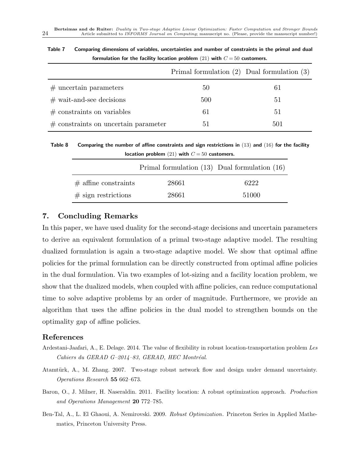|                                         | Primal formulation $(2)$ Dual formulation $(3)$ |     |
|-----------------------------------------|-------------------------------------------------|-----|
| $#$ uncertain parameters                | 50                                              | 61  |
| $#$ wait-and-see decisions              | 500                                             | 51  |
| $#$ constraints on variables            | 61                                              | 51  |
| $\#$ constraints on uncertain parameter | 51                                              | 501 |

<span id="page-23-5"></span>Table 7 Comparing dimensions of variables, uncertainties and number of constraints in the primal and dual formulation for the facility location problem  $(21)$  with  $C = 50$  customers.

<span id="page-23-6"></span>Table 8 Comparing the number of affine constraints and sign restrictions in  $(13)$  and  $(16)$  for the facility location problem  $(21)$  with  $C = 50$  customers.

|                         | Primal formulation $(13)$ Dual formulation $(16)$ |       |
|-------------------------|---------------------------------------------------|-------|
| $\#$ affine constraints | 28661                                             | 6222  |
| $\#$ sign restrictions  | 28661                                             | 51000 |

# <span id="page-23-2"></span>7. Concluding Remarks

In this paper, we have used duality for the second-stage decisions and uncertain parameters to derive an equivalent formulation of a primal two-stage adaptive model. The resulting dualized formulation is again a two-stage adaptive model. We show that optimal affine policies for the primal formulation can be directly constructed from optimal affine policies in the dual formulation. Via two examples of lot-sizing and a facility location problem, we show that the dualized models, when coupled with affine policies, can reduce computational time to solve adaptive problems by an order of magnitude. Furthermore, we provide an algorithm that uses the affine policies in the dual model to strengthen bounds on the optimality gap of affine policies.

## <span id="page-23-0"></span>References

- Ardestani-Jaafari, A., E. Delage. 2014. The value of flexibility in robust location-transportation problem *Les* Cahiers du GERAD G-2014-83, GERAD, HEC Montréal.
- <span id="page-23-1"></span>Atamtürk, A., M. Zhang. 2007. Two-stage robust network flow and design under demand uncertainty. *Operations Research* 55 662–673.
- <span id="page-23-4"></span>Baron, O., J. Milner, H. Naseraldin. 2011. Facility location: A robust optimization approach. *Production and Operations Management* 20 772–785.
- <span id="page-23-3"></span>Ben-Tal, A., L. El Ghaoui, A. Nemirovski. 2009. *Robust Optimization*. Princeton Series in Applied Mathematics, Princeton University Press.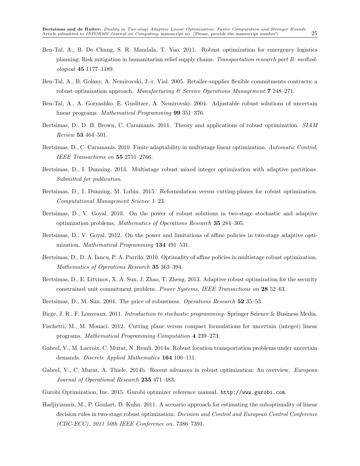- <span id="page-24-2"></span>Ben-Tal, A., B. Do Chung, S. R. Mandala, T. Yao. 2011. Robust optimization for emergency logistics planning: Risk mitigation in humanitarian relief supply chains. *Transportation research part B: methodological* 45 1177–1189.
- <span id="page-24-7"></span>Ben-Tal, A., B. Golany, A. Nemirovski, J.-r. Vial. 2005. Retailer-supplier flexible commitments contracts: a robust optimization approach. *Manufacturing & Service Operations Management* 7 248–271.
- <span id="page-24-6"></span>Ben-Tal, A., A. Goryashko, E. Guslitzer, A. Nemirovski. 2004. Adjustable robust solutions of uncertain linear programs. *Mathematical Programming* 99 351–376.
- <span id="page-24-4"></span>Bertsimas, D., D. B. Brown, C. Caramanis. 2011. Theory and applications of robust optimization. *SIAM Review* 53 464–501.
- <span id="page-24-10"></span>Bertsimas, D., C. Caramanis. 2010. Finite adaptability in multistage linear optimization. *Automatic Control, IEEE Transactions on* 55 2751–2766.
- <span id="page-24-12"></span>Bertsimas, D., I. Dunning. 2014. Multistage robust mixed integer optimization with adaptive partitions. *Submitted for publication*.
- <span id="page-24-16"></span>Bertsimas, D., I. Dunning, M. Lubin. 2015. Reformulation versus cutting-planes for robust optimization. *Computational Management Science* 1–23.
- <span id="page-24-9"></span>Bertsimas, D., V. Goyal. 2010. On the power of robust solutions in two-stage stochastic and adaptive optimization problems. *Mathematics of Operations Research* 35 284–305.
- <span id="page-24-11"></span>Bertsimas, D., V. Goyal. 2012. On the power and limitations of affine policies in two-stage adaptive optimization. *Mathematical Programming* 134 491–531.
- <span id="page-24-8"></span>Bertsimas, D., D. A. Iancu, P. A. Parrilo. 2010. Optimality of affine policies in multistage robust optimization. *Mathematics of Operations Research* 35 363–394.
- <span id="page-24-1"></span>Bertsimas, D., E. Litvinov, X. A. Sun, J. Zhao, T. Zheng. 2013. Adaptive robust optimization for the security constrained unit commitment problem. *Power Systems, IEEE Transactions on* 28 52–63.
- <span id="page-24-14"></span>Bertsimas, D., M. Sim. 2004. The price of robustness. *Operations Research* 52 35–53.
- <span id="page-24-0"></span>Birge, J. R., F. Louveaux. 2011. *Introduction to stochastic programming*. Springer Science & Business Media.
- <span id="page-24-15"></span>Fischetti, M., M. Monaci. 2012. Cutting plane versus compact formulations for uncertain (integer) linear programs. *Mathematical Programming Computation* 4 239–273.
- <span id="page-24-3"></span>Gabrel, V., M. Lacroix, C. Murat, N. Remli. 2014a. Robust location transportation problems under uncertain demands. *Discrete Applied Mathematics* 164 100–111.
- <span id="page-24-5"></span>Gabrel, V., C. Murat, A. Thiele. 2014b. Recent advances in robust optimization: An overview. *European Journal of Operational Research* 235 471–483.
- <span id="page-24-17"></span>Gurobi Optimization, Inc. 2015. Gurobi optimizer reference manual. <http://www.gurobi.com>.
- <span id="page-24-13"></span>Hadjiyiannis, M., P. Goulart, D. Kuhn. 2011. A scenario approach for estimating the suboptimality of linear decision rules in two-stage robust optimization. *Decision and Control and European Control Conference (CDC-ECC), 2011 50th IEEE Conference on*. 7386–7391.